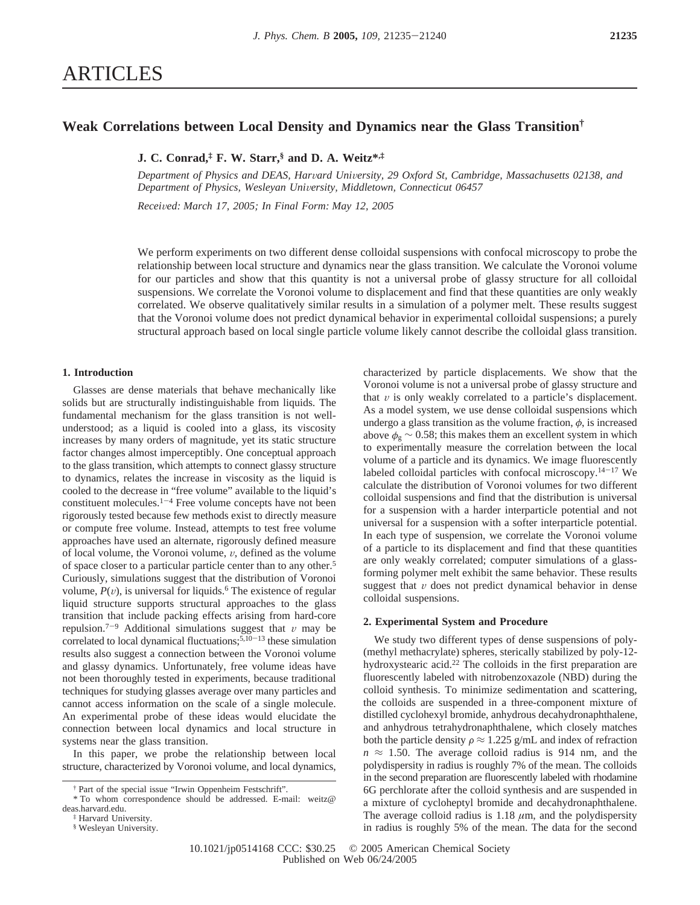# **Weak Correlations between Local Density and Dynamics near the Glass Transition†**

**J. C. Conrad,‡ F. W. Starr,§ and D. A. Weitz\*,‡**

Department of Physics and DEAS, Harvard University, 29 Oxford St, Cambridge, Massachusetts 02138, and *Department of Physics, Wesleyan Uni*V*ersity, Middletown, Connecticut 06457*

*Recei*V*ed: March 17, 2005; In Final Form: May 12, 2005*

We perform experiments on two different dense colloidal suspensions with confocal microscopy to probe the relationship between local structure and dynamics near the glass transition. We calculate the Voronoi volume for our particles and show that this quantity is not a universal probe of glassy structure for all colloidal suspensions. We correlate the Voronoi volume to displacement and find that these quantities are only weakly correlated. We observe qualitatively similar results in a simulation of a polymer melt. These results suggest that the Voronoi volume does not predict dynamical behavior in experimental colloidal suspensions; a purely structural approach based on local single particle volume likely cannot describe the colloidal glass transition.

# **1. Introduction**

Glasses are dense materials that behave mechanically like solids but are structurally indistinguishable from liquids. The fundamental mechanism for the glass transition is not wellunderstood; as a liquid is cooled into a glass, its viscosity increases by many orders of magnitude, yet its static structure factor changes almost imperceptibly. One conceptual approach to the glass transition, which attempts to connect glassy structure to dynamics, relates the increase in viscosity as the liquid is cooled to the decrease in "free volume" available to the liquid's constituent molecules. $1-4$  Free volume concepts have not been rigorously tested because few methods exist to directly measure or compute free volume. Instead, attempts to test free volume approaches have used an alternate, rigorously defined measure of local volume, the Voronoi volume,  $v$ , defined as the volume of space closer to a particular particle center than to any other.<sup>5</sup> Curiously, simulations suggest that the distribution of Voronoi volume,  $P(v)$ , is universal for liquids.<sup>6</sup> The existence of regular liquid structure supports structural approaches to the glass transition that include packing effects arising from hard-core repulsion.<sup>7-9</sup> Additional simulations suggest that  $v$  may be correlated to local dynamical fluctuations;  $5,10-13$  these simulation results also suggest a connection between the Voronoi volume and glassy dynamics. Unfortunately, free volume ideas have not been thoroughly tested in experiments, because traditional techniques for studying glasses average over many particles and cannot access information on the scale of a single molecule. An experimental probe of these ideas would elucidate the connection between local dynamics and local structure in systems near the glass transition.

In this paper, we probe the relationship between local structure, characterized by Voronoi volume, and local dynamics,

characterized by particle displacements. We show that the Voronoi volume is not a universal probe of glassy structure and that  $v$  is only weakly correlated to a particle's displacement. As a model system, we use dense colloidal suspensions which undergo a glass transition as the volume fraction,  $\phi$ , is increased above  $\phi_g \sim 0.58$ ; this makes them an excellent system in which to experimentally measure the correlation between the local volume of a particle and its dynamics. We image fluorescently labeled colloidal particles with confocal microscopy.14-<sup>17</sup> We calculate the distribution of Voronoi volumes for two different colloidal suspensions and find that the distribution is universal for a suspension with a harder interparticle potential and not universal for a suspension with a softer interparticle potential. In each type of suspension, we correlate the Voronoi volume of a particle to its displacement and find that these quantities are only weakly correlated; computer simulations of a glassforming polymer melt exhibit the same behavior. These results suggest that  $\nu$  does not predict dynamical behavior in dense colloidal suspensions.

# **2. Experimental System and Procedure**

We study two different types of dense suspensions of poly- (methyl methacrylate) spheres, sterically stabilized by poly-12 hydroxystearic acid.<sup>22</sup> The colloids in the first preparation are fluorescently labeled with nitrobenzoxazole (NBD) during the colloid synthesis. To minimize sedimentation and scattering, the colloids are suspended in a three-component mixture of distilled cyclohexyl bromide, anhydrous decahydronaphthalene, and anhydrous tetrahydronaphthalene, which closely matches both the particle density  $\rho \approx 1.225$  g/mL and index of refraction  $n \approx 1.50$ . The average colloid radius is 914 nm, and the polydispersity in radius is roughly 7% of the mean. The colloids in the second preparation are fluorescently labeled with rhodamine 6G perchlorate after the colloid synthesis and are suspended in a mixture of cycloheptyl bromide and decahydronaphthalene. The average colloid radius is  $1.18 \mu m$ , and the polydispersity in radius is roughly 5% of the mean. The data for the second

<sup>†</sup> Part of the special issue "Irwin Oppenheim Festschrift".

<sup>\*</sup> To whom correspondence should be addressed. E-mail: weitz@ deas.harvard.edu.

<sup>‡</sup> Harvard University.

<sup>§</sup> Wesleyan University.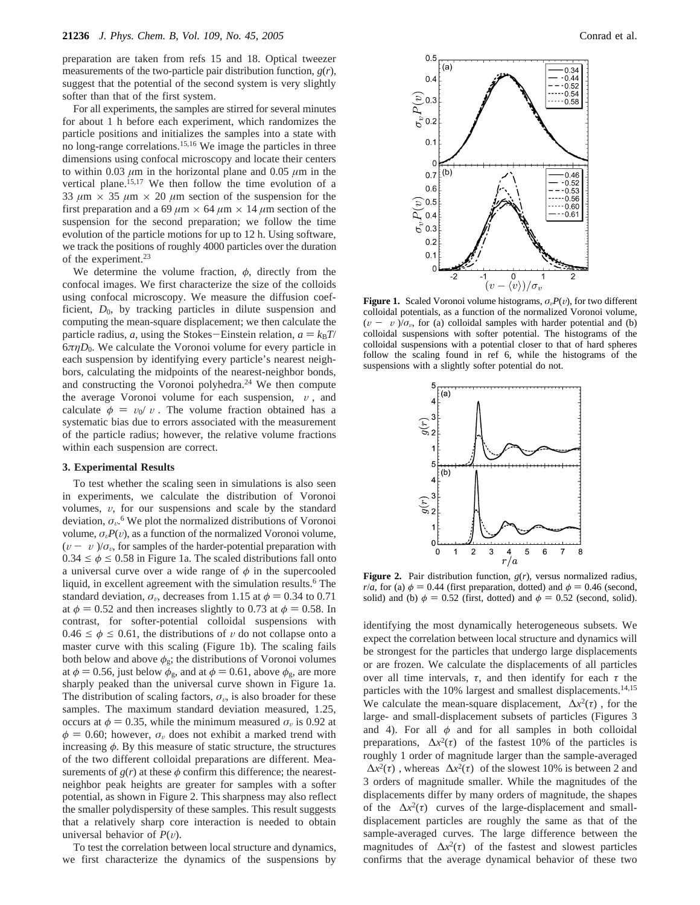preparation are taken from refs 15 and 18. Optical tweezer measurements of the two-particle pair distribution function, *g*(*r*), suggest that the potential of the second system is very slightly softer than that of the first system.

For all experiments, the samples are stirred for several minutes for about 1 h before each experiment, which randomizes the particle positions and initializes the samples into a state with no long-range correlations.15,16 We image the particles in three dimensions using confocal microscopy and locate their centers to within 0.03  $\mu$ m in the horizontal plane and 0.05  $\mu$ m in the vertical plane.<sup>15,17</sup> We then follow the time evolution of a 33  $\mu$ m  $\times$  35  $\mu$ m  $\times$  20  $\mu$ m section of the suspension for the first preparation and a 69  $\mu$ m  $\times$  64  $\mu$ m  $\times$  14  $\mu$ m section of the suspension for the second preparation; we follow the time evolution of the particle motions for up to 12 h. Using software, we track the positions of roughly 4000 particles over the duration of the experiment.<sup>23</sup>

We determine the volume fraction,  $\phi$ , directly from the confocal images. We first characterize the size of the colloids using confocal microscopy. We measure the diffusion coefficient,  $D_0$ , by tracking particles in dilute suspension and computing the mean-square displacement; we then calculate the particle radius, *a*, using the Stokes-Einstein relation,  $a = k_B T$ /  $6\pi\eta D_0$ . We calculate the Voronoi volume for every particle in each suspension by identifying every particle's nearest neighbors, calculating the midpoints of the nearest-neighbor bonds, and constructing the Voronoi polyhedra.24 We then compute the average Voronoi volume for each suspension,  $\langle v \rangle$ , and calculate  $\phi = v_0 \langle v \rangle$ . The volume fraction obtained has a systematic bias due to errors associated with the measurement of the particle radius; however, the relative volume fractions within each suspension are correct.

#### **3. Experimental Results**

To test whether the scaling seen in simulations is also seen in experiments, we calculate the distribution of Voronoi volumes,  $v$ , for our suspensions and scale by the standard deviation,  $\sigma_{\nu}$ <sup>6</sup>. We plot the normalized distributions of Voronoi volume,  $\sigma_{\nu}P(\nu)$ , as a function of the normalized Voronoi volume,  $(v - \langle v \rangle)/\sigma_v$ , for samples of the harder-potential preparation with  $0.34 \le \phi \le 0.58$  in Figure 1a. The scaled distributions fall onto a universal curve over a wide range of  $\phi$  in the supercooled liquid, in excellent agreement with the simulation results.<sup>6</sup> The standard deviation,  $\sigma_v$ , decreases from 1.15 at  $\phi = 0.34$  to 0.71 at  $\phi = 0.52$  and then increases slightly to 0.73 at  $\phi = 0.58$ . In contrast, for softer-potential colloidal suspensions with  $0.46 \le \phi \le 0.61$ , the distributions of v do not collapse onto a master curve with this scaling (Figure 1b). The scaling fails both below and above  $\phi_{g}$ ; the distributions of Voronoi volumes at  $\phi = 0.56$ , just below  $\phi_{g}$ , and at  $\phi = 0.61$ , above  $\phi_{g}$ , are more sharply peaked than the universal curve shown in Figure 1a. The distribution of scaling factors,  $\sigma_{\nu}$ , is also broader for these samples. The maximum standard deviation measured, 1.25, occurs at  $\phi = 0.35$ , while the minimum measured  $\sigma_v$  is 0.92 at  $\phi = 0.60$ ; however,  $\sigma_{\nu}$  does not exhibit a marked trend with increasing  $\phi$ . By this measure of static structure, the structures of the two different colloidal preparations are different. Measurements of  $g(r)$  at these  $\phi$  confirm this difference; the nearestneighbor peak heights are greater for samples with a softer potential, as shown in Figure 2. This sharpness may also reflect the smaller polydispersity of these samples. This result suggests that a relatively sharp core interaction is needed to obtain universal behavior of  $P(v)$ .

To test the correlation between local structure and dynamics, we first characterize the dynamics of the suspensions by



**Figure 1.** Scaled Voronoi volume histograms,  $\sigma_v P(v)$ , for two different colloidal potentials, as a function of the normalized Voronoi volume,  $(v - \langle v \rangle)/\sigma_v$ , for (a) colloidal samples with harder potential and (b) colloidal suspensions with softer potential. The histograms of the colloidal suspensions with a potential closer to that of hard spheres follow the scaling found in ref 6, while the histograms of the suspensions with a slightly softer potential do not.



**Figure 2.** Pair distribution function, *g*(*r*), versus normalized radius, *r*/*a*, for (a)  $\phi$  = 0.44 (first preparation, dotted) and  $\phi$  = 0.46 (second, solid) and (b)  $\phi = 0.52$  (first, dotted) and  $\phi = 0.52$  (second, solid).

identifying the most dynamically heterogeneous subsets. We expect the correlation between local structure and dynamics will be strongest for the particles that undergo large displacements or are frozen. We calculate the displacements of all particles over all time intervals,  $\tau$ , and then identify for each  $\tau$  the particles with the 10% largest and smallest displacements.<sup>14,15</sup> We calculate the mean-square displacement,  $\langle \Delta x^2(\tau) \rangle$ , for the large- and small-displacement subsets of particles (Figures 3 and 4). For all  $\phi$  and for all samples in both colloidal preparations,  $\langle \Delta x^2(\tau) \rangle$  of the fastest 10% of the particles is roughly 1 order of magnitude larger than the sample-averaged  $\langle \Delta x^2(\tau) \rangle$ , whereas  $\langle \Delta x^2(\tau) \rangle$  of the slowest 10% is between 2 and 3 orders of magnitude smaller. While the magnitudes of the displacements differ by many orders of magnitude, the shapes of the  $\langle \Delta x^2(\tau) \rangle$  curves of the large-displacement and smalldisplacement particles are roughly the same as that of the sample-averaged curves. The large difference between the magnitudes of  $\langle \Delta x^2(\tau) \rangle$  of the fastest and slowest particles confirms that the average dynamical behavior of these two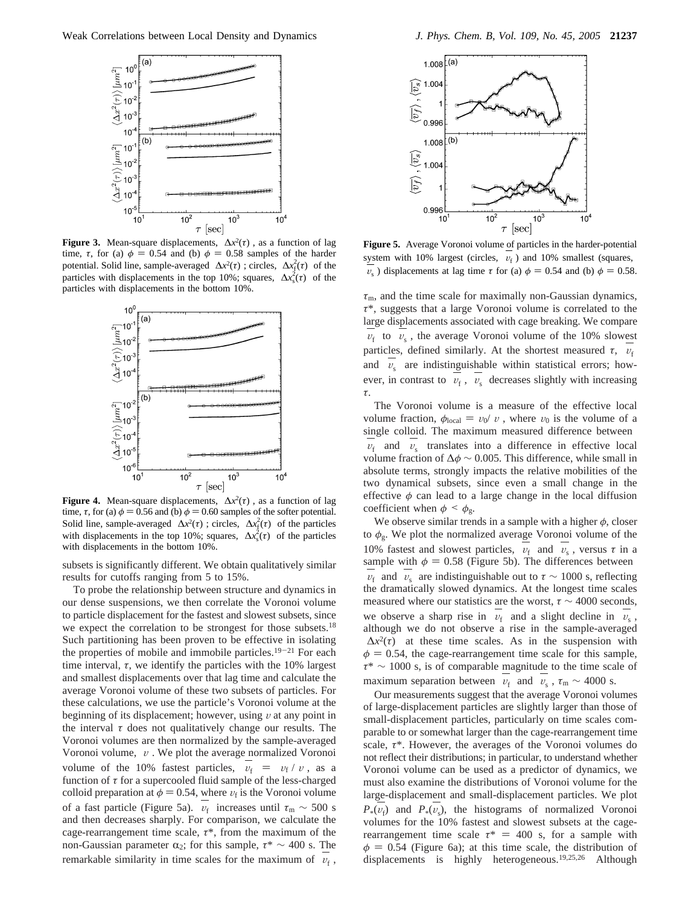

**Figure 3.** Mean-square displacements,  $\langle \Delta x^2(\tau) \rangle$ , as a function of lag time,  $\tau$ , for (a)  $\phi = 0.54$  and (b)  $\phi = 0.58$  samples of the harder potential. Solid line, sample-averaged  $\langle \Delta x^2(\tau) \rangle$ ; circles,  $\langle \Delta x_i^2(\tau) \rangle$  of the particles with displacements in the top 10%; squares,  $\langle \Delta x_s^2(\tau) \rangle$  of the particles with displacements in the bottom 10%.



**Figure 4.** Mean-square displacements,  $\langle \Delta x^2(\tau) \rangle$ , as a function of lag time,  $\tau$ , for (a)  $\phi = 0.56$  and (b)  $\phi = 0.60$  samples of the softer potential. Solid line, sample-averaged  $\langle \Delta x^2(\tau) \rangle$ ; circles,  $\langle \Delta x_i^2(\tau) \rangle$  of the particles with displacements in the top 10%; squares,  $\langle \Delta x_s^2(\tau) \rangle$  of the particles with displacements in the bottom 10%.

subsets is significantly different. We obtain qualitatively similar results for cutoffs ranging from 5 to 15%.

To probe the relationship between structure and dynamics in our dense suspensions, we then correlate the Voronoi volume to particle displacement for the fastest and slowest subsets, since we expect the correlation to be strongest for those subsets.<sup>18</sup> Such partitioning has been proven to be effective in isolating the properties of mobile and immobile particles.<sup>19-21</sup> For each time interval, *τ*, we identify the particles with the 10% largest and smallest displacements over that lag time and calculate the average Voronoi volume of these two subsets of particles. For these calculations, we use the particle's Voronoi volume at the beginning of its displacement; however, using  $\nu$  at any point in the interval  $\tau$  does not qualitatively change our results. The Voronoi volumes are then normalized by the sample-averaged Voronoi volume,  $\langle v \rangle$ . We plot the average normalized Voronoi volume of the 10% fastest particles,  $\langle v_f \rangle = \langle v_f \rangle / \langle v \rangle$ , as a function of  $\tau$  for a supercooled fluid sample of the less-charged function of *τ* for a supercooled fluid sample of the less-charged colloid preparation at  $\phi = 0.54$ , where  $v_f$  is the Voronoi volume of a fast particle (Figure 5a).  $\langle v_f \rangle$  increases until  $\tau_m \sim 500$  s<br>and then decreases sharply. For comparison, we calculate the and then decreases sharply. For comparison, we calculate the cage-rearrangement time scale, *τ*\*, from the maximum of the non-Gaussian parameter  $\alpha_2$ ; for this sample,  $\tau^* \sim 400$  s. The remarkable similarity in time scales for the maximum of  $\langle v_{\rm f} \rangle$ ,



**Figure 5.** Average Voronoi volume of particles in the harder-potential system with 10% largest (circles,  $\langle v_f \rangle$ ) and 10% smallest (squares,  $\langle v_i \rangle$ ) displacements at leg time  $\tau$  for (e)  $\phi = 0.54$  and (b)  $\phi = 0.58$  $\langle v_s \rangle$ ) displacements at lag time  $\tau$  for (a)  $\phi = 0.54$  and (b)  $\phi = 0.58$ .

*τ*m, and the time scale for maximally non-Gaussian dynamics, *τ*\*, suggests that a large Voronoi volume is correlated to the large displacements associated with cage breaking. We compare  $\langle v_{\rm f} \rangle$  to  $\langle v_{\rm s} \rangle$ , the average Voronoi volume of the 10% slowest particles, defined similarly. At the shortest measured  $\tau$ ,  $\langle v_f \rangle$ <br>and  $\langle v_i \rangle$  are indictinguishable within statistical arrange have and  $\langle v_{s} \rangle$  are indistinguishable within statistical errors; however, in contrast to  $\langle v_{\rm f} \rangle$ ,  $\langle v_{\rm s} \rangle$  decreases slightly with increasing *τ*.

The Voronoi volume is a measure of the effective local volume fraction,  $\phi_{local} = v_0 \langle v \rangle$ , where  $v_0$  is the volume of a single colloid. The maximum measured difference between  $\langle v_{\rm r} \rangle$  and  $\langle v_{\rm s} \rangle$  translates into a difference in effective local<br>volume fraction of  $\Delta \phi \sim 0.005$  This difference while small in volume fraction of ∆*φ* ∼ 0.005. This difference, while small in absolute terms, strongly impacts the relative mobilities of the two dynamical subsets, since even a small change in the effective  $\phi$  can lead to a large change in the local diffusion coefficient when  $\phi < \phi_{\rm g}$ .

We observe similar trends in a sample with a higher  $\phi$ , closer to *φ*g. We plot the normalized average Voronoi volume of the 10% fastest and slowest particles,  $\langle v_f \rangle$  and  $\langle v_s \rangle$ , versus *τ* in a sample with  $\phi = 0.58$  (Figure 5b). The differences between sample with  $\phi = 0.58$  (Figure 5b). The differences between  $\langle v_{\rm f} \rangle$  and  $\langle v_{\rm s} \rangle$  are indistinguishable out to  $\tau \sim 1000$  s, reflecting the dramatically slowed dynamics. At the longest time scales the dramatically slowed dynamics. At the longest time scales measured where our statistics are the worst,  $\tau \sim 4000$  seconds, we observe a sharp rise in  $\langle v_{\rm f} \rangle$  and a slight decline in  $\langle v_{\rm s} \rangle$ , although we do not observe a rise in the sample-averaged although we do not observe a rise in the sample-averaged  $\langle \Delta x^2(\tau) \rangle$  at these time scales. As in the suspension with  $\phi = 0.54$ , the cage-rearrangement time scale for this sample, *τ*\* ∼ 1000 s, is of comparable magnitude to the time scale of maximum separation between  $\langle v_f \rangle$  and  $\langle v_s \rangle$ ,  $\tau_m \sim 4000$  s.<br>Our massurements suggest that the average Voronoi volu-

Our measurements suggest that the average Voronoi volumes of large-displacement particles are slightly larger than those of small-displacement particles, particularly on time scales comparable to or somewhat larger than the cage-rearrangement time scale, *τ*\*. However, the averages of the Voronoi volumes do not reflect their distributions; in particular, to understand whether Voronoi volume can be used as a predictor of dynamics, we must also examine the distributions of Voronoi volume for the large-displacement and small-displacement particles. We plot  $P_*(v_f)$  and  $P_*(v_s)$ , the histograms of normalized Voronoi<br>volumes for the 10% fastest and slowest subsets at the cagevolumes for the 10% fastest and slowest subsets at the cagerearrangement time scale  $\tau^* = 400$  s, for a sample with  $\phi = 0.54$  (Figure 6a); at this time scale, the distribution of displacements is highly heterogeneous.19,25,26 Although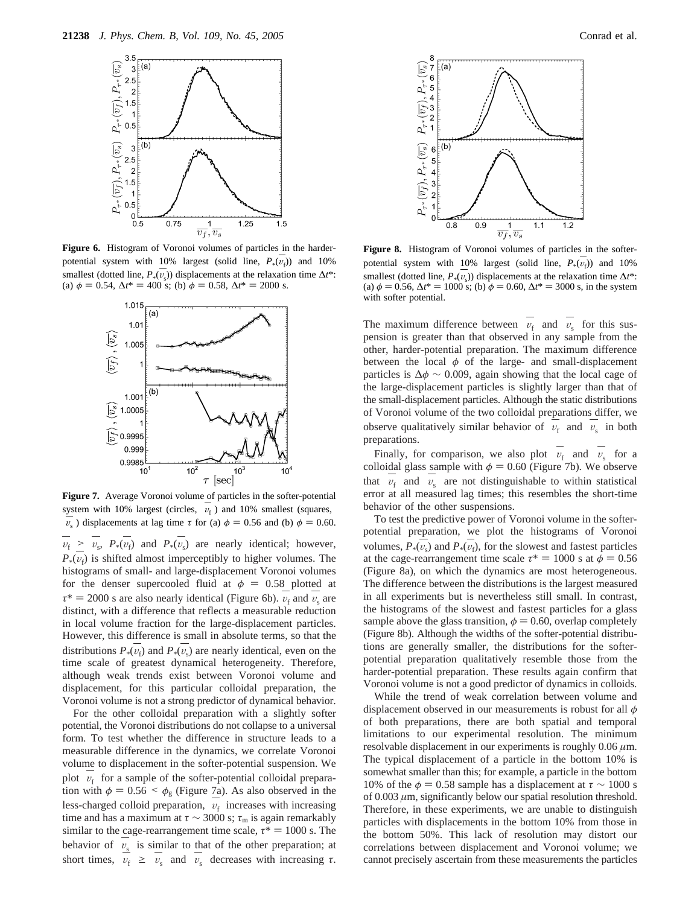

**Figure 6.** Histogram of Voronoi volumes of particles in the harderpotential system with 10% largest (solid line,  $P_*(v_i)$ ) and 10%<br>cancellect (dated line,  $P_*(v_i)$ ) displacements at the galaxation time At the smallest (dotted line,  $P_*(v_s)$ ) displacements at the relaxation time  $\Delta t^*$ : (a)  $\phi = 0.54$ ,  $\Delta t^* = 400$  s; (b)  $\phi = 0.58$ ,  $\Delta t^* = 2000$  s.



 $v_f \geq v_s$ ,  $P_*(v_f)$  and  $P_*(v_s)$  are nearly identical; however,  $P_*(v_f)$  is shifted almost imperceptibly to higher volumes. The histograms of small, and large-displacement Voronoi volumes histograms of small- and large-displacement Voronoi volumes for the denser supercooled fluid at  $\phi = 0.58$  plotted at  $\tau^* = 2000$  s are also nearly identical (Figure 6b).  $v_f$  and  $v_s$  are distinct, with a difference that reflects a measurable reduction in local volume fraction for the large-displacement particles. However, this difference is small in absolute terms, so that the distributions  $P_*(v_f)$  and  $P_*(v_s)$  are nearly identical, even on the time scale of greatest dynamical heterogeneity. Therefore time scale of greatest dynamical heterogeneity. Therefore, although weak trends exist between Voronoi volume and displacement, for this particular colloidal preparation, the Voronoi volume is not a strong predictor of dynamical behavior. **Figure 7.** Average Voronoi volume of particles in the softer-potential system with 10% largest (circles,  $\langle v_f \rangle$ ) and 10% smallest (squares,  $\langle v_s \rangle$ ) displacements at lag time  $\tau$  for (a)  $\phi = 0.56$  and (b)  $\phi = 0.60$ .

For the other colloidal preparation with a slightly softer potential, the Voronoi distributions do not collapse to a universal form. To test whether the difference in structure leads to a measurable difference in the dynamics, we correlate Voronoi volume to displacement in the softer-potential suspension. We plot  $\langle v_f \rangle$  for a sample of the softer-potential colloidal prepara-<br>tion with  $\phi = 0.56 \le \phi$  (Figure 7a). As also observed in the tion with  $\phi = 0.56 \le \phi_{\rm g}$  (Figure 7a). As also observed in the less-charged colloid preparation,  $\langle v_f \rangle$  increases with increasing<br>time and has a maximum at  $\tau \sim 3000$  s:  $\tau$  is again remarkably time and has a maximum at *τ* ∼ 3000 s; *τ*<sup>m</sup> is again remarkably similar to the cage-rearrangement time scale,  $\tau^* = 1000$  s. The behavior of  $\langle v_s \rangle$  is similar to that of the other preparation; at short times,  $\langle v_{f} \rangle \ge \langle v_{s} \rangle$  and  $\langle v_{s} \rangle$  decreases with increasing  $\tau$ .



**Figure 8.** Histogram of Voronoi volumes of particles in the softerpotential system with 10% largest (solid line,  $P_*(v_f)$ ) and 10%<br>consilect (dated line,  $P_*(v_i)$ ) displacements at the relaxation time At the smallest (dotted line,  $P_*(v_s)$ ) displacements at the relaxation time  $\Delta t^*$ : (a)  $\phi = 0.56$ ,  $\Delta t^* = 1000$  s; (b)  $\dot{\phi} = 0.60$ ,  $\Delta t^* = 3000$  s, in the system with softer potential.

The maximum difference between  $\langle v_f \rangle$  and  $\langle v_s \rangle$  for this sus-<br>pension is greater than that observed in any sample from the pension is greater than that observed in any sample from the other, harder-potential preparation. The maximum difference between the local  $\phi$  of the large- and small-displacement particles is  $\Delta \phi \sim 0.009$ , again showing that the local cage of the large-displacement particles is slightly larger than that of the small-displacement particles. Although the static distributions of Voronoi volume of the two colloidal preparations differ, we observe qualitatively similar behavior of  $\langle v_{f} \rangle$  and  $\langle v_{s} \rangle$  in both preparations preparations.

Finally, for comparison, we also plot  $\langle v_{f} \rangle$  and  $\langle v_{s} \rangle$  for a lloidal glass sample with  $\phi = 0.60$  (Figure 7b). We observe colloidal glass sample with  $\phi = 0.60$  (Figure 7b). We observe that  $\langle v_{\rm f} \rangle$  and  $\langle v_{\rm s} \rangle$  are not distinguishable to within statistical<br>error at all measured lag times; this resembles the short-time error at all measured lag times; this resembles the short-time behavior of the other suspensions.

To test the predictive power of Voronoi volume in the softerpotential preparation, we plot the histograms of Voronoi volumes,  $P_*(v_s)$  and  $P_*(v_f)$ , for the slowest and fastest particles<br>at the cage-rearrangement time scale  $\tau^* = 1000$  s at  $\phi = 0.56$ at the cage-rearrangement time scale  $\tau^* = 1000$  s at  $\phi = 0.56$ (Figure 8a), on which the dynamics are most heterogeneous. The difference between the distributions is the largest measured in all experiments but is nevertheless still small. In contrast, the histograms of the slowest and fastest particles for a glass sample above the glass transition,  $\phi = 0.60$ , overlap completely (Figure 8b). Although the widths of the softer-potential distributions are generally smaller, the distributions for the softerpotential preparation qualitatively resemble those from the harder-potential preparation. These results again confirm that Voronoi volume is not a good predictor of dynamics in colloids.

While the trend of weak correlation between volume and displacement observed in our measurements is robust for all *φ* of both preparations, there are both spatial and temporal limitations to our experimental resolution. The minimum resolvable displacement in our experiments is roughly 0.06 *µ*m. The typical displacement of a particle in the bottom 10% is somewhat smaller than this; for example, a particle in the bottom 10% of the  $\phi$  = 0.58 sample has a displacement at  $\tau \sim 1000$  s of 0.003 *µ*m, significantly below our spatial resolution threshold. Therefore, in these experiments, we are unable to distinguish particles with displacements in the bottom 10% from those in the bottom 50%. This lack of resolution may distort our correlations between displacement and Voronoi volume; we cannot precisely ascertain from these measurements the particles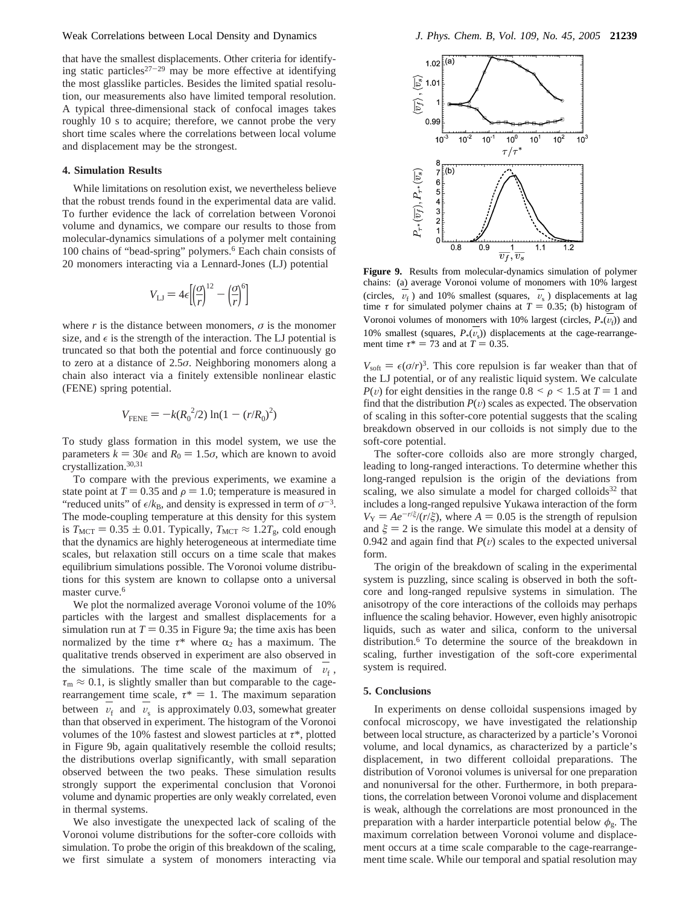that have the smallest displacements. Other criteria for identifying static particles<sup>27-29</sup> may be more effective at identifying the most glasslike particles. Besides the limited spatial resolution, our measurements also have limited temporal resolution. A typical three-dimensional stack of confocal images takes roughly 10 s to acquire; therefore, we cannot probe the very short time scales where the correlations between local volume and displacement may be the strongest.

## **4. Simulation Results**

While limitations on resolution exist, we nevertheless believe that the robust trends found in the experimental data are valid. To further evidence the lack of correlation between Voronoi volume and dynamics, we compare our results to those from molecular-dynamics simulations of a polymer melt containing 100 chains of "bead-spring" polymers.6 Each chain consists of 20 monomers interacting via a Lennard-Jones (LJ) potential

$$
V_{\mathrm{LJ}}=4\epsilon\Bigl[\Bigl(\!\frac{\sigma}{r}\Bigr)^{\!\!12}-\Bigl(\!\frac{\sigma}{r}\Bigr)^{\!\!6}\Bigr]
$$

where  $r$  is the distance between monomers,  $\sigma$  is the monomer size, and  $\epsilon$  is the strength of the interaction. The LJ potential is truncated so that both the potential and force continuously go to zero at a distance of 2.5*σ*. Neighboring monomers along a chain also interact via a finitely extensible nonlinear elastic (FENE) spring potential.

$$
V_{\text{FENE}} = -k(R_0^2/2) \ln(1 - (r/R_0)^2)
$$

To study glass formation in this model system, we use the parameters  $k = 30\epsilon$  and  $R_0 = 1.5\sigma$ , which are known to avoid crystallization.30,31

To compare with the previous experiments, we examine a state point at  $T = 0.35$  and  $\rho = 1.0$ ; temperature is measured in "reduced units" of  $\epsilon/k_B$ , and density is expressed in term of  $\sigma^{-3}$ . The mode-coupling temperature at this density for this system is  $T_{\text{MCT}} = 0.35 \pm 0.01$ . Typically,  $T_{\text{MCT}} \approx 1.2T_{\text{g}}$ , cold enough that the dynamics are highly heterogeneous at intermediate time scales, but relaxation still occurs on a time scale that makes equilibrium simulations possible. The Voronoi volume distributions for this system are known to collapse onto a universal master curve.<sup>6</sup>

We plot the normalized average Voronoi volume of the 10% particles with the largest and smallest displacements for a simulation run at  $T = 0.35$  in Figure 9a; the time axis has been normalized by the time  $\tau^*$  where  $\alpha_2$  has a maximum. The qualitative trends observed in experiment are also observed in the simulations. The time scale of the maximum of  $\langle v_{\rm f} \rangle$ ,<br>  $\tau \approx 0.1$  is slightly smaller than but comparable to the cage.  $\tau_{\rm m} \approx 0.1$ , is slightly smaller than but comparable to the cagerearrangement time scale,  $\tau^* = 1$ . The maximum separation between  $\langle v_f \rangle$  and  $\langle v_s \rangle$  is approximately 0.03, somewhat greater<br>than that observed in experiment. The histogram of the Voronoi than that observed in experiment. The histogram of the Voronoi volumes of the 10% fastest and slowest particles at *τ*\*, plotted in Figure 9b, again qualitatively resemble the colloid results; the distributions overlap significantly, with small separation observed between the two peaks. These simulation results strongly support the experimental conclusion that Voronoi volume and dynamic properties are only weakly correlated, even in thermal systems.

We also investigate the unexpected lack of scaling of the Voronoi volume distributions for the softer-core colloids with simulation. To probe the origin of this breakdown of the scaling, we first simulate a system of monomers interacting via



**Figure 9.** Results from molecular-dynamics simulation of polymer chains: (a) average Voronoi volume of monomers with 10% largest (circles,  $\langle v_f \rangle$ ) and 10% smallest (squares,  $\langle v_s \rangle$ ) displacements at lag<br>time  $\tau$  for simulated polymer chains at  $T = 0.35$ ; (b) histogram of time *τ* for simulated polymer chains at  $T = 0.35$ ; (b) histogram of<br>Managei uplyings of manageographs 10% largest (similar  $P_n(x)$ ) and Voronoi volumes of monomers with 10% largest (circles,  $P_*(v_f)$ ) and<br>10% smallest (squares,  $P_*(v_i)$ ) displacements at the sone mormanos 10% smallest (squares,  $P_*(v_s)$ ) displacements at the cage-rearrangement time  $\tau^* = 73$  and at  $T = 0.35$ .

 $V_{\text{soft}} = \epsilon(\sigma/r)^3$ . This core repulsion is far weaker than that of the LJ potential, or of any realistic liquid system. We calculate  $P(v)$  for eight densities in the range  $0.8 < \rho < 1.5$  at  $T = 1$  and find that the distribution  $P(v)$  scales as expected. The observation of scaling in this softer-core potential suggests that the scaling breakdown observed in our colloids is not simply due to the soft-core potential.

The softer-core colloids also are more strongly charged, leading to long-ranged interactions. To determine whether this long-ranged repulsion is the origin of the deviations from scaling, we also simulate a model for charged colloids $32$  that includes a long-ranged repulsive Yukawa interaction of the form  $V_Y = Ae^{-r/\xi}/(r/\xi)$ , where  $A = 0.05$  is the strength of repulsion and  $\xi = 2$  is the range. We simulate this model at a density of 0.942 and again find that  $P(v)$  scales to the expected universal form.

The origin of the breakdown of scaling in the experimental system is puzzling, since scaling is observed in both the softcore and long-ranged repulsive systems in simulation. The anisotropy of the core interactions of the colloids may perhaps influence the scaling behavior. However, even highly anisotropic liquids, such as water and silica, conform to the universal distribution.6 To determine the source of the breakdown in scaling, further investigation of the soft-core experimental system is required.

## **5. Conclusions**

In experiments on dense colloidal suspensions imaged by confocal microscopy, we have investigated the relationship between local structure, as characterized by a particle's Voronoi volume, and local dynamics, as characterized by a particle's displacement, in two different colloidal preparations. The distribution of Voronoi volumes is universal for one preparation and nonuniversal for the other. Furthermore, in both preparations, the correlation between Voronoi volume and displacement is weak, although the correlations are most pronounced in the preparation with a harder interparticle potential below  $\phi_{\rm g}$ . The maximum correlation between Voronoi volume and displacement occurs at a time scale comparable to the cage-rearrangement time scale. While our temporal and spatial resolution may